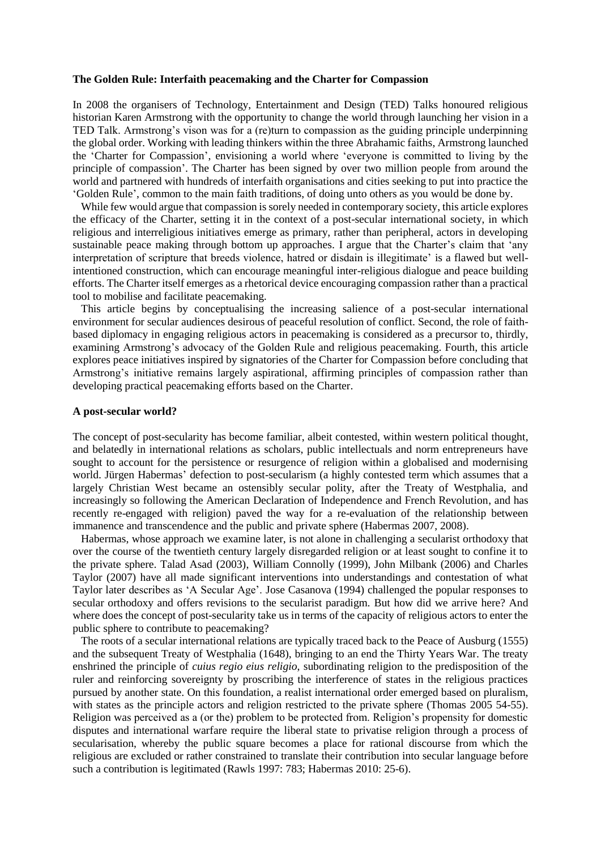### **The Golden Rule: Interfaith peacemaking and the Charter for Compassion**

In 2008 the organisers of Technology, Entertainment and Design (TED) Talks honoured religious historian Karen Armstrong with the opportunity to change the world through launching her vision in a TED Talk. Armstrong's vison was for a (re)turn to compassion as the guiding principle underpinning the global order. Working with leading thinkers within the three Abrahamic faiths, Armstrong launched the 'Charter for Compassion', envisioning a world where 'everyone is committed to living by the principle of compassion'. The Charter has been signed by over two million people from around the world and partnered with hundreds of interfaith organisations and cities seeking to put into practice the 'Golden Rule', common to the main faith traditions, of doing unto others as you would be done by.

 While few would argue that compassion is sorely needed in contemporary society, this article explores the efficacy of the Charter, setting it in the context of a post-secular international society, in which religious and interreligious initiatives emerge as primary, rather than peripheral, actors in developing sustainable peace making through bottom up approaches. I argue that the Charter's claim that 'any interpretation of scripture that breeds violence, hatred or disdain is illegitimate' is a flawed but wellintentioned construction, which can encourage meaningful inter-religious dialogue and peace building efforts. The Charter itself emerges as a rhetorical device encouraging compassion rather than a practical tool to mobilise and facilitate peacemaking.

 This article begins by conceptualising the increasing salience of a post-secular international environment for secular audiences desirous of peaceful resolution of conflict. Second, the role of faithbased diplomacy in engaging religious actors in peacemaking is considered as a precursor to, thirdly, examining Armstrong's advocacy of the Golden Rule and religious peacemaking. Fourth, this article explores peace initiatives inspired by signatories of the Charter for Compassion before concluding that Armstrong's initiative remains largely aspirational, affirming principles of compassion rather than developing practical peacemaking efforts based on the Charter.

### **A post-secular world?**

The concept of post-secularity has become familiar, albeit contested, within western political thought, and belatedly in international relations as scholars, public intellectuals and norm entrepreneurs have sought to account for the persistence or resurgence of religion within a globalised and modernising world. Jürgen Habermas' defection to post-secularism (a highly contested term which assumes that a largely Christian West became an ostensibly secular polity, after the Treaty of Westphalia, and increasingly so following the American Declaration of Independence and French Revolution, and has recently re-engaged with religion) paved the way for a re-evaluation of the relationship between immanence and transcendence and the public and private sphere (Habermas 2007, 2008).

 Habermas, whose approach we examine later, is not alone in challenging a secularist orthodoxy that over the course of the twentieth century largely disregarded religion or at least sought to confine it to the private sphere. Talad Asad (2003), William Connolly (1999), John Milbank (2006) and Charles Taylor (2007) have all made significant interventions into understandings and contestation of what Taylor later describes as 'A Secular Age'. Jose Casanova (1994) challenged the popular responses to secular orthodoxy and offers revisions to the secularist paradigm. But how did we arrive here? And where does the concept of post-secularity take us in terms of the capacity of religious actors to enter the public sphere to contribute to peacemaking?

 The roots of a secular international relations are typically traced back to the Peace of Ausburg (1555) and the subsequent Treaty of Westphalia (1648), bringing to an end the Thirty Years War. The treaty enshrined the principle of *cuius regio eius religio*, subordinating religion to the predisposition of the ruler and reinforcing sovereignty by proscribing the interference of states in the religious practices pursued by another state. On this foundation, a realist international order emerged based on pluralism, with states as the principle actors and religion restricted to the private sphere (Thomas 2005 54-55). Religion was perceived as a (or the) problem to be protected from. Religion's propensity for domestic disputes and international warfare require the liberal state to privatise religion through a process of secularisation, whereby the public square becomes a place for rational discourse from which the religious are excluded or rather constrained to translate their contribution into secular language before such a contribution is legitimated (Rawls 1997: 783; Habermas 2010: 25-6).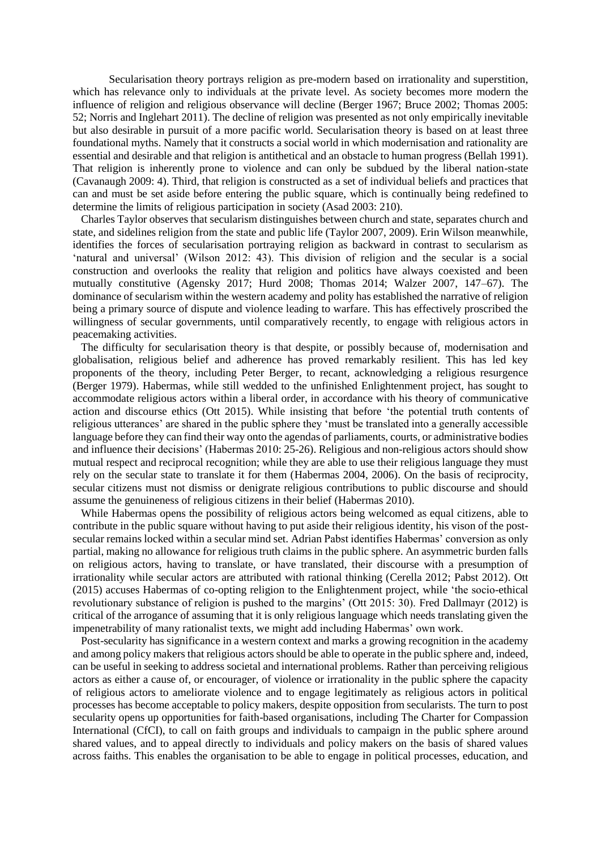Secularisation theory portrays religion as pre-modern based on irrationality and superstition, which has relevance only to individuals at the private level. As society becomes more modern the influence of religion and religious observance will decline (Berger 1967; Bruce 2002; Thomas 2005: 52; Norris and Inglehart 2011). The decline of religion was presented as not only empirically inevitable but also desirable in pursuit of a more pacific world. Secularisation theory is based on at least three foundational myths. Namely that it constructs a social world in which modernisation and rationality are essential and desirable and that religion is antithetical and an obstacle to human progress (Bellah 1991). That religion is inherently prone to violence and can only be subdued by the liberal nation-state (Cavanaugh 2009: 4). Third, that religion is constructed as a set of individual beliefs and practices that can and must be set aside before entering the public square, which is continually being redefined to determine the limits of religious participation in society (Asad 2003: 210).

 Charles Taylor observes that secularism distinguishes between church and state, separates church and state, and sidelines religion from the state and public life (Taylor 2007, 2009). Erin Wilson meanwhile, identifies the forces of secularisation portraying religion as backward in contrast to secularism as 'natural and universal' (Wilson 2012: 43). This division of religion and the secular is a social construction and overlooks the reality that religion and politics have always coexisted and been mutually constitutive (Agensky 2017; Hurd 2008; Thomas 2014; Walzer 2007, 147–67). The dominance of secularism within the western academy and polity has established the narrative of religion being a primary source of dispute and violence leading to warfare. This has effectively proscribed the willingness of secular governments, until comparatively recently, to engage with religious actors in peacemaking activities.

 The difficulty for secularisation theory is that despite, or possibly because of, modernisation and globalisation, religious belief and adherence has proved remarkably resilient. This has led key proponents of the theory, including Peter Berger, to recant, acknowledging a religious resurgence (Berger 1979). Habermas, while still wedded to the unfinished Enlightenment project, has sought to accommodate religious actors within a liberal order, in accordance with his theory of communicative action and discourse ethics (Ott 2015). While insisting that before 'the potential truth contents of religious utterances' are shared in the public sphere they 'must be translated into a generally accessible language before they can find their way onto the agendas of parliaments, courts, or administrative bodies and influence their decisions' (Habermas 2010: 25-26). Religious and non-religious actors should show mutual respect and reciprocal recognition; while they are able to use their religious language they must rely on the secular state to translate it for them (Habermas 2004, 2006). On the basis of reciprocity, secular citizens must not dismiss or denigrate religious contributions to public discourse and should assume the genuineness of religious citizens in their belief (Habermas 2010).

 While Habermas opens the possibility of religious actors being welcomed as equal citizens, able to contribute in the public square without having to put aside their religious identity, his vison of the postsecular remains locked within a secular mind set. Adrian Pabst identifies Habermas' conversion as only partial, making no allowance for religious truth claims in the public sphere. An asymmetric burden falls on religious actors, having to translate, or have translated, their discourse with a presumption of irrationality while secular actors are attributed with rational thinking (Cerella 2012; Pabst 2012). Ott (2015) accuses Habermas of co-opting religion to the Enlightenment project, while 'the socio-ethical revolutionary substance of religion is pushed to the margins' (Ott 2015: 30). Fred Dallmayr (2012) is critical of the arrogance of assuming that it is only religious language which needs translating given the impenetrability of many rationalist texts, we might add including Habermas' own work.

 Post-secularity has significance in a western context and marks a growing recognition in the academy and among policy makers that religious actors should be able to operate in the public sphere and, indeed, can be useful in seeking to address societal and international problems. Rather than perceiving religious actors as either a cause of, or encourager, of violence or irrationality in the public sphere the capacity of religious actors to ameliorate violence and to engage legitimately as religious actors in political processes has become acceptable to policy makers, despite opposition from secularists. The turn to post secularity opens up opportunities for faith-based organisations, including The Charter for Compassion International (CfCI), to call on faith groups and individuals to campaign in the public sphere around shared values, and to appeal directly to individuals and policy makers on the basis of shared values across faiths. This enables the organisation to be able to engage in political processes, education, and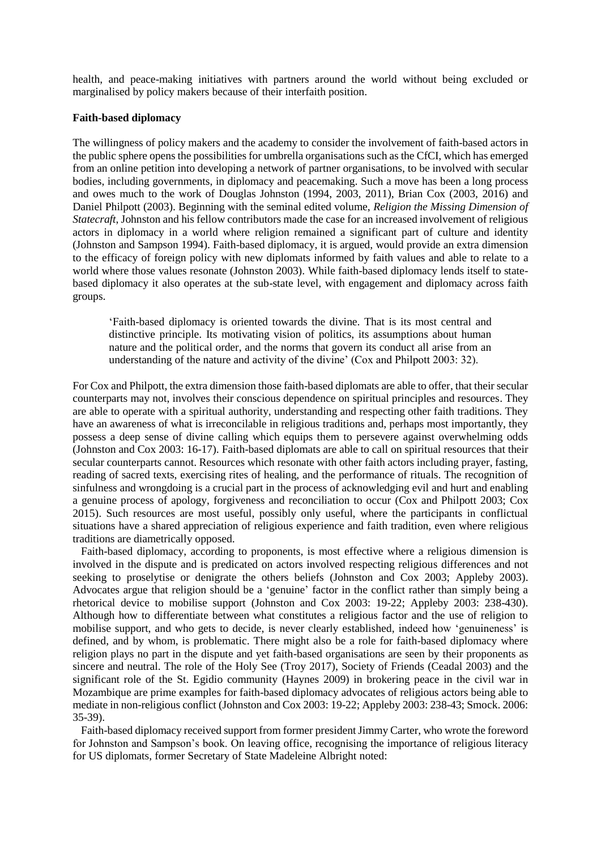health, and peace-making initiatives with partners around the world without being excluded or marginalised by policy makers because of their interfaith position.

### **Faith-based diplomacy**

The willingness of policy makers and the academy to consider the involvement of faith-based actors in the public sphere opens the possibilities for umbrella organisations such as the CfCI, which has emerged from an online petition into developing a network of partner organisations, to be involved with secular bodies, including governments, in diplomacy and peacemaking. Such a move has been a long process and owes much to the work of Douglas Johnston (1994, 2003, 2011), Brian Cox (2003, 2016) and Daniel Philpott (2003). Beginning with the seminal edited volume, *Religion the Missing Dimension of Statecraft*, Johnston and his fellow contributors made the case for an increased involvement of religious actors in diplomacy in a world where religion remained a significant part of culture and identity (Johnston and Sampson 1994). Faith-based diplomacy, it is argued, would provide an extra dimension to the efficacy of foreign policy with new diplomats informed by faith values and able to relate to a world where those values resonate (Johnston 2003). While faith-based diplomacy lends itself to statebased diplomacy it also operates at the sub-state level, with engagement and diplomacy across faith groups.

'Faith-based diplomacy is oriented towards the divine. That is its most central and distinctive principle. Its motivating vision of politics, its assumptions about human nature and the political order, and the norms that govern its conduct all arise from an understanding of the nature and activity of the divine' (Cox and Philpott 2003: 32).

For Cox and Philpott, the extra dimension those faith-based diplomats are able to offer, that their secular counterparts may not, involves their conscious dependence on spiritual principles and resources. They are able to operate with a spiritual authority, understanding and respecting other faith traditions. They have an awareness of what is irreconcilable in religious traditions and, perhaps most importantly, they possess a deep sense of divine calling which equips them to persevere against overwhelming odds (Johnston and Cox 2003: 16-17). Faith-based diplomats are able to call on spiritual resources that their secular counterparts cannot. Resources which resonate with other faith actors including prayer, fasting, reading of sacred texts, exercising rites of healing, and the performance of rituals. The recognition of sinfulness and wrongdoing is a crucial part in the process of acknowledging evil and hurt and enabling a genuine process of apology, forgiveness and reconciliation to occur (Cox and Philpott 2003; Cox 2015). Such resources are most useful, possibly only useful, where the participants in conflictual situations have a shared appreciation of religious experience and faith tradition, even where religious traditions are diametrically opposed.

 Faith-based diplomacy, according to proponents, is most effective where a religious dimension is involved in the dispute and is predicated on actors involved respecting religious differences and not seeking to proselytise or denigrate the others beliefs (Johnston and Cox 2003; Appleby 2003). Advocates argue that religion should be a 'genuine' factor in the conflict rather than simply being a rhetorical device to mobilise support (Johnston and Cox 2003: 19-22; Appleby 2003: 238-430). Although how to differentiate between what constitutes a religious factor and the use of religion to mobilise support, and who gets to decide, is never clearly established, indeed how 'genuineness' is defined, and by whom, is problematic. There might also be a role for faith-based diplomacy where religion plays no part in the dispute and yet faith-based organisations are seen by their proponents as sincere and neutral. The role of the Holy See (Troy 2017), Society of Friends (Ceadal 2003) and the significant role of the St. Egidio community (Haynes 2009) in brokering peace in the civil war in Mozambique are prime examples for faith-based diplomacy advocates of religious actors being able to mediate in non-religious conflict (Johnston and Cox 2003: 19-22; Appleby 2003: 238-43; Smock. 2006: 35-39).

 Faith-based diplomacy received support from former president Jimmy Carter, who wrote the foreword for Johnston and Sampson's book. On leaving office, recognising the importance of religious literacy for US diplomats, former Secretary of State Madeleine Albright noted: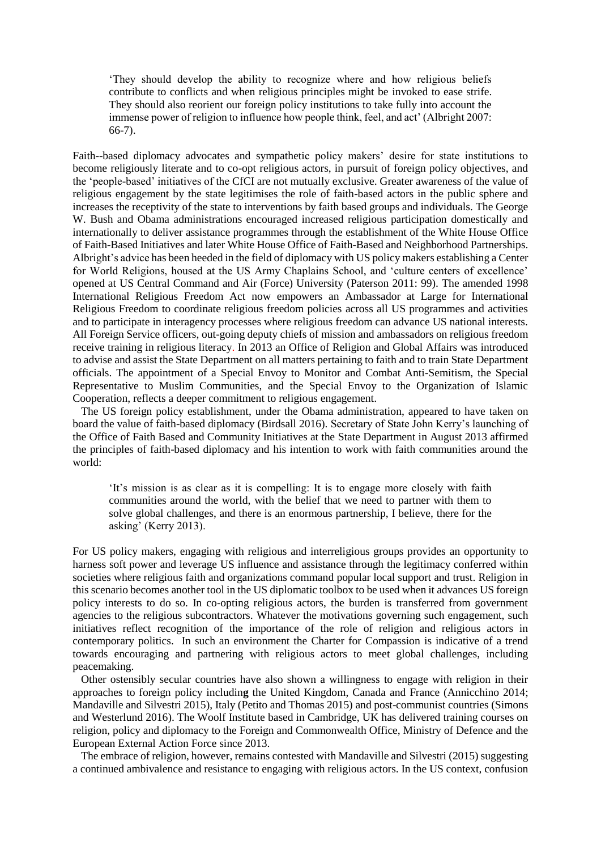'They should develop the ability to recognize where and how religious beliefs contribute to conflicts and when religious principles might be invoked to ease strife. They should also reorient our foreign policy institutions to take fully into account the immense power of religion to influence how people think, feel, and act' (Albright 2007: 66-7).

Faith--based diplomacy advocates and sympathetic policy makers' desire for state institutions to become religiously literate and to co-opt religious actors, in pursuit of foreign policy objectives, and the 'people-based' initiatives of the CfCI are not mutually exclusive. Greater awareness of the value of religious engagement by the state legitimises the role of faith-based actors in the public sphere and increases the receptivity of the state to interventions by faith based groups and individuals. The George W. Bush and Obama administrations encouraged increased religious participation domestically and internationally to deliver assistance programmes through the establishment of the White House Office of Faith-Based Initiatives and later White House Office of Faith-Based and Neighborhood Partnerships. Albright's advice has been heeded in the field of diplomacy with US policy makers establishing a Center for World Religions, housed at the US Army Chaplains School, and 'culture centers of excellence' opened at US Central Command and Air (Force) University (Paterson 2011: 99). The amended 1998 International Religious Freedom Act now empowers an Ambassador at Large for International Religious Freedom to coordinate religious freedom policies across all US programmes and activities and to participate in interagency processes where religious freedom can advance US national interests. All Foreign Service officers, out-going deputy chiefs of mission and ambassadors on religious freedom receive training in religious literacy. In 2013 an Office of Religion and Global Affairs was introduced to advise and assist the State Department on all matters pertaining to faith and to train State Department officials. The appointment of a Special Envoy to Monitor and Combat Anti-Semitism, the Special Representative to Muslim Communities, and the Special Envoy to the Organization of Islamic Cooperation, reflects a deeper commitment to religious engagement.

 The US foreign policy establishment, under the Obama administration, appeared to have taken on board the value of faith-based diplomacy (Birdsall 2016). Secretary of State John Kerry's launching of the Office of Faith Based and Community Initiatives at the State Department in August 2013 affirmed the principles of faith-based diplomacy and his intention to work with faith communities around the world:

'It's mission is as clear as it is compelling: It is to engage more closely with faith communities around the world, with the belief that we need to partner with them to solve global challenges, and there is an enormous partnership, I believe, there for the asking' (Kerry 2013).

For US policy makers, engaging with religious and interreligious groups provides an opportunity to harness soft power and leverage US influence and assistance through the legitimacy conferred within societies where religious faith and organizations command popular local support and trust. Religion in this scenario becomes another tool in the US diplomatic toolbox to be used when it advances US foreign policy interests to do so. In co-opting religious actors, the burden is transferred from government agencies to the religious subcontractors. Whatever the motivations governing such engagement, such initiatives reflect recognition of the importance of the role of religion and religious actors in contemporary politics. In such an environment the Charter for Compassion is indicative of a trend towards encouraging and partnering with religious actors to meet global challenges, including peacemaking.

 Other ostensibly secular countries have also shown a willingness to engage with religion in their approaches to foreign policy includin**g** the United Kingdom, Canada and France (Annicchino 2014; Mandaville and Silvestri 2015), Italy (Petito and Thomas 2015) and post-communist countries (Simons and Westerlund 2016). The Woolf Institute based in Cambridge, UK has delivered training courses on religion, policy and diplomacy to the Foreign and Commonwealth Office, Ministry of Defence and the European External Action Force since 2013.

 The embrace of religion, however, remains contested with Mandaville and Silvestri (2015) suggesting a continued ambivalence and resistance to engaging with religious actors. In the US context, confusion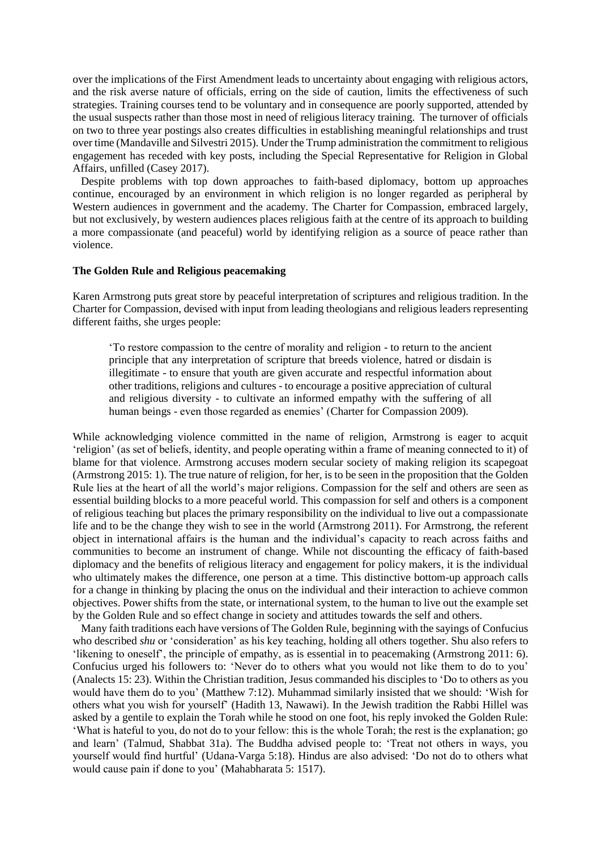over the implications of the First Amendment leads to uncertainty about engaging with religious actors, and the risk averse nature of officials, erring on the side of caution, limits the effectiveness of such strategies. Training courses tend to be voluntary and in consequence are poorly supported, attended by the usual suspects rather than those most in need of religious literacy training. The turnover of officials on two to three year postings also creates difficulties in establishing meaningful relationships and trust over time (Mandaville and Silvestri 2015). Under the Trump administration the commitment to religious engagement has receded with key posts, including the Special Representative for Religion in Global Affairs, unfilled (Casey 2017).

 Despite problems with top down approaches to faith-based diplomacy, bottom up approaches continue, encouraged by an environment in which religion is no longer regarded as peripheral by Western audiences in government and the academy. The Charter for Compassion, embraced largely, but not exclusively, by western audiences places religious faith at the centre of its approach to building a more compassionate (and peaceful) world by identifying religion as a source of peace rather than violence.

## **The Golden Rule and Religious peacemaking**

Karen Armstrong puts great store by peaceful interpretation of scriptures and religious tradition. In the Charter for Compassion, devised with input from leading theologians and religious leaders representing different faiths, she urges people:

'To restore compassion to the centre of morality and religion - to return to the ancient principle that any interpretation of scripture that breeds violence, hatred or disdain is illegitimate - to ensure that youth are given accurate and respectful information about other traditions, religions and cultures - to encourage a positive appreciation of cultural and religious diversity - to cultivate an informed empathy with the suffering of all human beings - even those regarded as enemies' (Charter for Compassion 2009).

While acknowledging violence committed in the name of religion, Armstrong is eager to acquit 'religion' (as set of beliefs, identity, and people operating within a frame of meaning connected to it) of blame for that violence. Armstrong accuses modern secular society of making religion its scapegoat (Armstrong 2015: 1). The true nature of religion, for her, is to be seen in the proposition that the Golden Rule lies at the heart of all the world's major religions. Compassion for the self and others are seen as essential building blocks to a more peaceful world. This compassion for self and others is a component of religious teaching but places the primary responsibility on the individual to live out a compassionate life and to be the change they wish to see in the world (Armstrong 2011). For Armstrong, the referent object in international affairs is the human and the individual's capacity to reach across faiths and communities to become an instrument of change. While not discounting the efficacy of faith-based diplomacy and the benefits of religious literacy and engagement for policy makers, it is the individual who ultimately makes the difference, one person at a time. This distinctive bottom-up approach calls for a change in thinking by placing the onus on the individual and their interaction to achieve common objectives. Power shifts from the state, or international system, to the human to live out the example set by the Golden Rule and so effect change in society and attitudes towards the self and others.

 Many faith traditions each have versions of The Golden Rule, beginning with the sayings of Confucius who described *shu* or 'consideration' as his key teaching, holding all others together. Shu also refers to 'likening to oneself', the principle of empathy, as is essential in to peacemaking (Armstrong 2011: 6). Confucius urged his followers to: 'Never do to others what you would not like them to do to you' (Analects 15: 23). Within the Christian tradition, Jesus commanded his disciples to 'Do to others as you would have them do to you' (Matthew 7:12). Muhammad similarly insisted that we should: 'Wish for others what you wish for yourself' (Hadith 13, Nawawi). In the Jewish tradition the Rabbi Hillel was asked by a gentile to explain the Torah while he stood on one foot, his reply invoked the Golden Rule: 'What is hateful to you, do not do to your fellow: this is the whole Torah; the rest is the explanation; go and learn' (Talmud, Shabbat 31a). The Buddha advised people to: 'Treat not others in ways, you yourself would find hurtful' (Udana-Varga 5:18). Hindus are also advised: 'Do not do to others what would cause pain if done to you' (Mahabharata 5: 1517).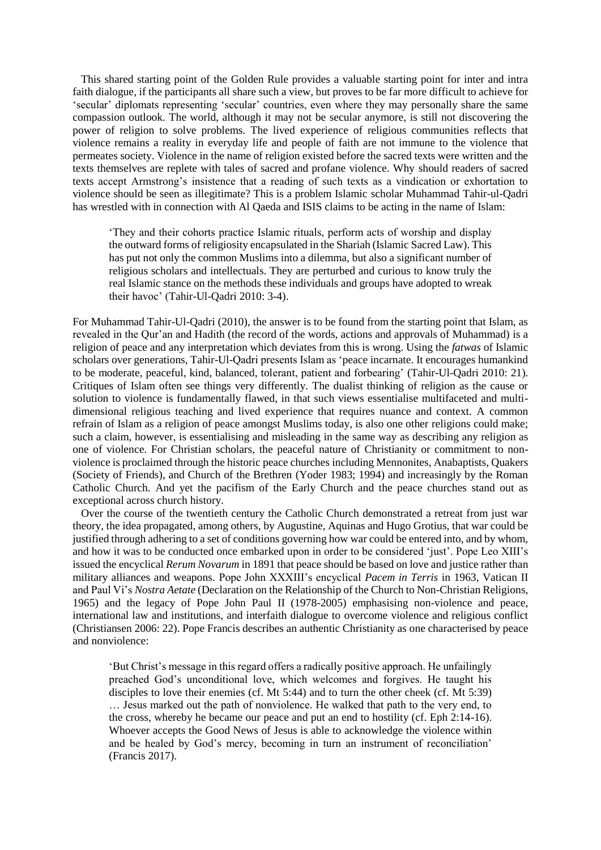This shared starting point of the Golden Rule provides a valuable starting point for inter and intra faith dialogue, if the participants all share such a view, but proves to be far more difficult to achieve for 'secular' diplomats representing 'secular' countries, even where they may personally share the same compassion outlook. The world, although it may not be secular anymore, is still not discovering the power of religion to solve problems. The lived experience of religious communities reflects that violence remains a reality in everyday life and people of faith are not immune to the violence that permeates society. Violence in the name of religion existed before the sacred texts were written and the texts themselves are replete with tales of sacred and profane violence. Why should readers of sacred texts accept Armstrong's insistence that a reading of such texts as a vindication or exhortation to violence should be seen as illegitimate? This is a problem Islamic scholar Muhammad Tahir-ul-Qadri has wrestled with in connection with Al Qaeda and ISIS claims to be acting in the name of Islam:

'They and their cohorts practice Islamic rituals, perform acts of worship and display the outward forms of religiosity encapsulated in the Shariah (Islamic Sacred Law). This has put not only the common Muslims into a dilemma, but also a significant number of religious scholars and intellectuals. They are perturbed and curious to know truly the real Islamic stance on the methods these individuals and groups have adopted to wreak their havoc' (Tahir-Ul-Qadri 2010: 3-4).

For Muhammad Tahir-Ul-Qadri (2010), the answer is to be found from the starting point that Islam, as revealed in the Qur'an and Hadith (the record of the words, actions and approvals of Muhammad) is a religion of peace and any interpretation which deviates from this is wrong. Using the *fatwas* of Islamic scholars over generations, Tahir-Ul-Qadri presents Islam as 'peace incarnate. It encourages humankind to be moderate, peaceful, kind, balanced, tolerant, patient and forbearing' (Tahir-Ul-Qadri 2010: 21). Critiques of Islam often see things very differently. The dualist thinking of religion as the cause or solution to violence is fundamentally flawed, in that such views essentialise multifaceted and multidimensional religious teaching and lived experience that requires nuance and context. A common refrain of Islam as a religion of peace amongst Muslims today, is also one other religions could make; such a claim, however, is essentialising and misleading in the same way as describing any religion as one of violence. For Christian scholars, the peaceful nature of Christianity or commitment to nonviolence is proclaimed through the historic peace churches including Mennonites, Anabaptists, Quakers (Society of Friends), and Church of the Brethren (Yoder 1983; 1994) and increasingly by the Roman Catholic Church. And yet the pacifism of the Early Church and the peace churches stand out as exceptional across church history.

 Over the course of the twentieth century the Catholic Church demonstrated a retreat from just war theory, the idea propagated, among others, by Augustine, Aquinas and Hugo Grotius, that war could be justified through adhering to a set of conditions governing how war could be entered into, and by whom, and how it was to be conducted once embarked upon in order to be considered 'just'. Pope Leo XIII's issued the encyclical *Rerum Novarum* in 1891 that peace should be based on love and justice rather than military alliances and weapons. Pope John XXXIII's encyclical *Pacem in Terris* in 1963, Vatican II and Paul Vi's *Nostra Aetate* (Declaration on the Relationship of the Church to Non-Christian Religions, 1965) and the legacy of Pope John Paul II (1978-2005) emphasising non-violence and peace, international law and institutions, and interfaith dialogue to overcome violence and religious conflict (Christiansen 2006: 22). Pope Francis describes an authentic Christianity as one characterised by peace and nonviolence:

'But Christ's message in this regard offers a radically positive approach. He unfailingly preached God's unconditional love, which welcomes and forgives. He taught his disciples to love their enemies (cf. Mt 5:44) and to turn the other cheek (cf. Mt 5:39) … Jesus marked out the path of nonviolence. He walked that path to the very end, to the cross, whereby he became our peace and put an end to hostility (cf. Eph 2:14-16). Whoever accepts the Good News of Jesus is able to acknowledge the violence within and be healed by God's mercy, becoming in turn an instrument of reconciliation' (Francis 2017).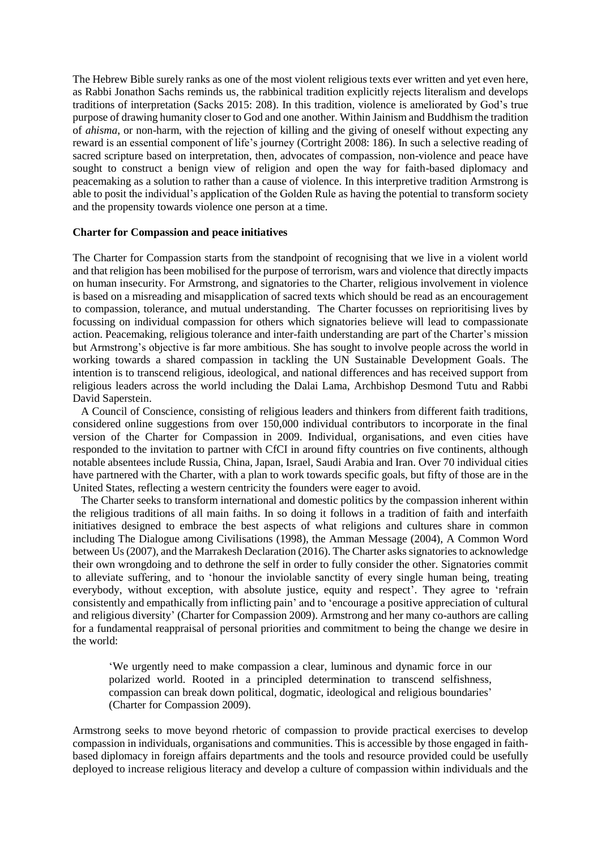The Hebrew Bible surely ranks as one of the most violent religious texts ever written and yet even here, as Rabbi Jonathon Sachs reminds us, the rabbinical tradition explicitly rejects literalism and develops traditions of interpretation (Sacks 2015: 208). In this tradition, violence is ameliorated by God's true purpose of drawing humanity closer to God and one another. Within Jainism and Buddhism the tradition of *ahisma*, or non-harm, with the rejection of killing and the giving of oneself without expecting any reward is an essential component of life's journey (Cortright 2008: 186). In such a selective reading of sacred scripture based on interpretation, then, advocates of compassion, non-violence and peace have sought to construct a benign view of religion and open the way for faith-based diplomacy and peacemaking as a solution to rather than a cause of violence. In this interpretive tradition Armstrong is able to posit the individual's application of the Golden Rule as having the potential to transform society and the propensity towards violence one person at a time.

### **Charter for Compassion and peace initiatives**

The Charter for Compassion starts from the standpoint of recognising that we live in a violent world and that religion has been mobilised for the purpose of terrorism, wars and violence that directly impacts on human insecurity. For Armstrong, and signatories to the Charter, religious involvement in violence is based on a misreading and misapplication of sacred texts which should be read as an encouragement to compassion, tolerance, and mutual understanding. The Charter focusses on reprioritising lives by focussing on individual compassion for others which signatories believe will lead to compassionate action. Peacemaking, religious tolerance and inter-faith understanding are part of the Charter's mission but Armstrong's objective is far more ambitious. She has sought to involve people across the world in working towards a shared compassion in tackling the UN Sustainable Development Goals. The intention is to transcend religious, ideological, and national differences and has received support from religious leaders across the world including the Dalai Lama, Archbishop Desmond Tutu and Rabbi David Saperstein.

 A Council of Conscience, consisting of religious leaders and thinkers from different faith traditions, considered online suggestions from over 150,000 individual contributors to incorporate in the final version of the Charter for Compassion in 2009. Individual, organisations, and even cities have responded to the invitation to partner with CfCI in around fifty countries on five continents, although notable absentees include Russia, China, Japan, Israel, Saudi Arabia and Iran. Over 70 individual cities have partnered with the Charter, with a plan to work towards specific goals, but fifty of those are in the United States, reflecting a western centricity the founders were eager to avoid.

 The Charter seeks to transform international and domestic politics by the compassion inherent within the religious traditions of all main faiths. In so doing it follows in a tradition of faith and interfaith initiatives designed to embrace the best aspects of what religions and cultures share in common including The Dialogue among Civilisations (1998), the Amman Message (2004), A Common Word between Us(2007), and the Marrakesh Declaration (2016). The Charter asks signatories to acknowledge their own wrongdoing and to dethrone the self in order to fully consider the other. Signatories commit to alleviate suffering, and to 'honour the inviolable sanctity of every single human being, treating everybody, without exception, with absolute justice, equity and respect'. They agree to 'refrain consistently and empathically from inflicting pain' and to 'encourage a positive appreciation of cultural and religious diversity' (Charter for Compassion 2009). Armstrong and her many co-authors are calling for a fundamental reappraisal of personal priorities and commitment to being the change we desire in the world:

'We urgently need to make compassion a clear, luminous and dynamic force in our polarized world. Rooted in a principled determination to transcend selfishness, compassion can break down political, dogmatic, ideological and religious boundaries' (Charter for Compassion 2009).

Armstrong seeks to move beyond rhetoric of compassion to provide practical exercises to develop compassion in individuals, organisations and communities. This is accessible by those engaged in faithbased diplomacy in foreign affairs departments and the tools and resource provided could be usefully deployed to increase religious literacy and develop a culture of compassion within individuals and the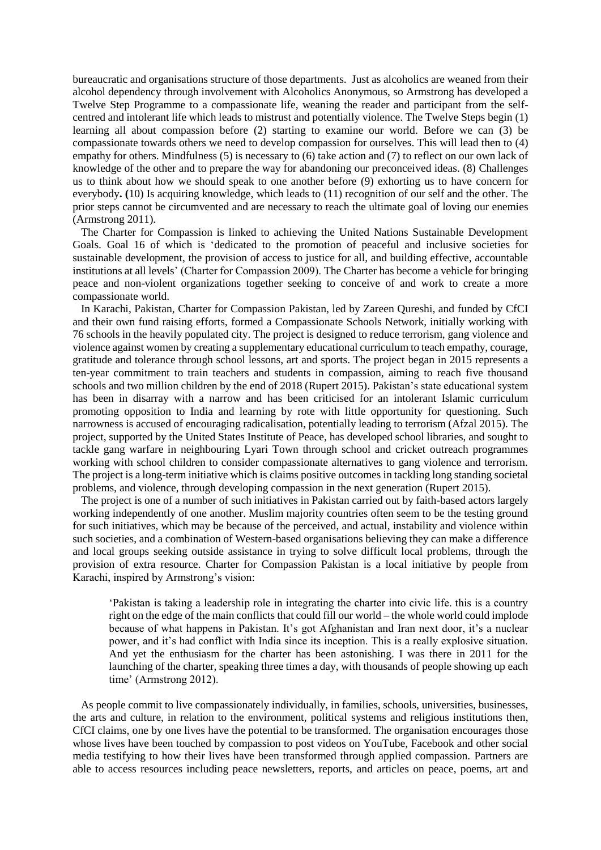bureaucratic and organisations structure of those departments. Just as alcoholics are weaned from their alcohol dependency through involvement with Alcoholics Anonymous, so Armstrong has developed a Twelve Step Programme to a compassionate life, weaning the reader and participant from the selfcentred and intolerant life which leads to mistrust and potentially violence. The Twelve Steps begin (1) learning all about compassion before (2) starting to examine our world. Before we can (3) be compassionate towards others we need to develop compassion for ourselves. This will lead then to (4) empathy for others. Mindfulness (5) is necessary to (6) take action and (7) to reflect on our own lack of knowledge of the other and to prepare the way for abandoning our preconceived ideas. (8) Challenges us to think about how we should speak to one another before (9) exhorting us to have concern for everybody**. (**10) Is acquiring knowledge, which leads to (11) recognition of our self and the other. The prior steps cannot be circumvented and are necessary to reach the ultimate goal of loving our enemies (Armstrong 2011).

 The Charter for Compassion is linked to achieving the United Nations Sustainable Development Goals. Goal 16 of which is 'dedicated to the promotion of peaceful and inclusive societies for sustainable development, the provision of access to justice for all, and building effective, accountable institutions at all levels' (Charter for Compassion 2009). The Charter has become a vehicle for bringing peace and non-violent organizations together seeking to conceive of and work to create a more compassionate world.

 In Karachi, Pakistan, Charter for Compassion Pakistan, led by Zareen Qureshi, and funded by CfCI and their own fund raising efforts, formed a Compassionate Schools Network, initially working with 76 schools in the heavily populated city. The project is designed to reduce terrorism, gang violence and violence against women by creating a supplementary educational curriculum to teach empathy, courage, gratitude and tolerance through school lessons, art and sports. The project began in 2015 represents a ten-year commitment to train teachers and students in compassion, aiming to reach five thousand schools and two million children by the end of 2018 (Rupert 2015). Pakistan's state educational system has been in disarray with a narrow and has been criticised for an intolerant Islamic curriculum promoting opposition to India and learning by rote with little opportunity for questioning. Such narrowness is accused of encouraging radicalisation, potentially leading to terrorism (Afzal 2015). The project, supported by the United States Institute of Peace, has developed school libraries, and sought to tackle gang warfare in neighbouring Lyari Town through school and cricket outreach programmes working with school children to consider compassionate alternatives to gang violence and terrorism. The project is a long-term initiative which is claims positive outcomes in tackling long standing societal problems, and violence, through developing compassion in the next generation (Rupert 2015).

 The project is one of a number of such initiatives in Pakistan carried out by faith-based actors largely working independently of one another. Muslim majority countries often seem to be the testing ground for such initiatives, which may be because of the perceived, and actual, instability and violence within such societies, and a combination of Western-based organisations believing they can make a difference and local groups seeking outside assistance in trying to solve difficult local problems, through the provision of extra resource. Charter for Compassion Pakistan is a local initiative by people from Karachi, inspired by Armstrong's vision:

'Pakistan is taking a leadership role in integrating the charter into civic life. this is a country right on the edge of the main conflicts that could fill our world – the whole world could implode because of what happens in Pakistan. It's got Afghanistan and Iran next door, it's a nuclear power, and it's had conflict with India since its inception. This is a really explosive situation. And yet the enthusiasm for the charter has been astonishing. I was there in 2011 for the launching of the charter, speaking three times a day, with thousands of people showing up each time' (Armstrong 2012).

 As people commit to live compassionately individually, in families, schools, universities, businesses, the arts and culture, in relation to the environment, political systems and religious institutions then, CfCI claims, one by one lives have the potential to be transformed. The organisation encourages those whose lives have been touched by compassion to post videos on YouTube, Facebook and other social media testifying to how their lives have been transformed through applied compassion. Partners are able to access resources including peace newsletters, reports, and articles on peace, poems, art and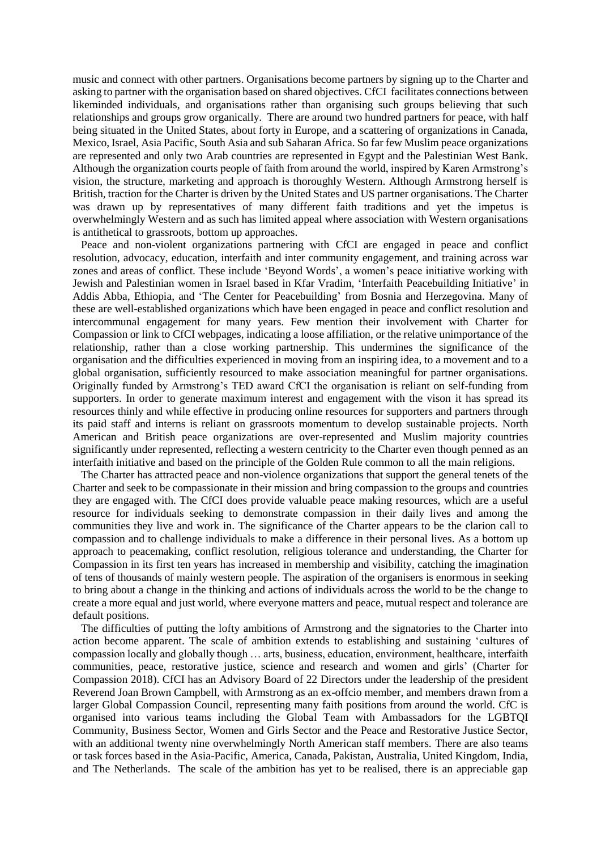music and connect with other partners. Organisations become partners by signing up to the Charter and asking to partner with the organisation based on shared objectives. CfCI facilitates connections between likeminded individuals, and organisations rather than organising such groups believing that such relationships and groups grow organically. There are around two hundred partners for peace, with half being situated in the United States, about forty in Europe, and a scattering of organizations in Canada, Mexico, Israel, Asia Pacific, South Asia and sub Saharan Africa. So far few Muslim peace organizations are represented and only two Arab countries are represented in Egypt and the Palestinian West Bank. Although the organization courts people of faith from around the world, inspired by Karen Armstrong's vision, the structure, marketing and approach is thoroughly Western. Although Armstrong herself is British, traction for the Charter is driven by the United States and US partner organisations. The Charter was drawn up by representatives of many different faith traditions and yet the impetus is overwhelmingly Western and as such has limited appeal where association with Western organisations is antithetical to grassroots, bottom up approaches.

 Peace and non-violent organizations partnering with CfCI are engaged in peace and conflict resolution, advocacy, education, interfaith and inter community engagement, and training across war zones and areas of conflict. These include 'Beyond Words', a women's peace initiative working with Jewish and Palestinian women in Israel based in Kfar Vradim, 'Interfaith Peacebuilding Initiative' in Addis Abba, Ethiopia, and 'The Center for Peacebuilding' from Bosnia and Herzegovina. Many of these are well-established organizations which have been engaged in peace and conflict resolution and intercommunal engagement for many years. Few mention their involvement with Charter for Compassion or link to CfCI webpages, indicating a loose affiliation, or the relative unimportance of the relationship, rather than a close working partnership. This undermines the significance of the organisation and the difficulties experienced in moving from an inspiring idea, to a movement and to a global organisation, sufficiently resourced to make association meaningful for partner organisations. Originally funded by Armstrong's TED award CfCI the organisation is reliant on self-funding from supporters. In order to generate maximum interest and engagement with the vison it has spread its resources thinly and while effective in producing online resources for supporters and partners through its paid staff and interns is reliant on grassroots momentum to develop sustainable projects. North American and British peace organizations are over-represented and Muslim majority countries significantly under represented, reflecting a western centricity to the Charter even though penned as an interfaith initiative and based on the principle of the Golden Rule common to all the main religions.

 The Charter has attracted peace and non-violence organizations that support the general tenets of the Charter and seek to be compassionate in their mission and bring compassion to the groups and countries they are engaged with. The CfCI does provide valuable peace making resources, which are a useful resource for individuals seeking to demonstrate compassion in their daily lives and among the communities they live and work in. The significance of the Charter appears to be the clarion call to compassion and to challenge individuals to make a difference in their personal lives. As a bottom up approach to peacemaking, conflict resolution, religious tolerance and understanding, the Charter for Compassion in its first ten years has increased in membership and visibility, catching the imagination of tens of thousands of mainly western people. The aspiration of the organisers is enormous in seeking to bring about a change in the thinking and actions of individuals across the world to be the change to create a more equal and just world, where everyone matters and peace, mutual respect and tolerance are default positions.

 The difficulties of putting the lofty ambitions of Armstrong and the signatories to the Charter into action become apparent. The scale of ambition extends to establishing and sustaining 'cultures of compassion locally and globally though … arts, business, education, environment, healthcare, interfaith communities, peace, restorative justice, science and research and women and girls' (Charter for Compassion 2018). CfCI has an Advisory Board of 22 Directors under the leadership of the president Reverend Joan Brown Campbell, with Armstrong as an ex-offcio member, and members drawn from a larger Global Compassion Council, representing many faith positions from around the world. CfC is organised into various teams including the Global Team with Ambassadors for the LGBTQI Community, Business Sector, Women and Girls Sector and the Peace and Restorative Justice Sector, with an additional twenty nine overwhelmingly North American staff members. There are also teams or task forces based in the Asia-Pacific, America, Canada, Pakistan, Australia, United Kingdom, India, and The Netherlands. The scale of the ambition has yet to be realised, there is an appreciable gap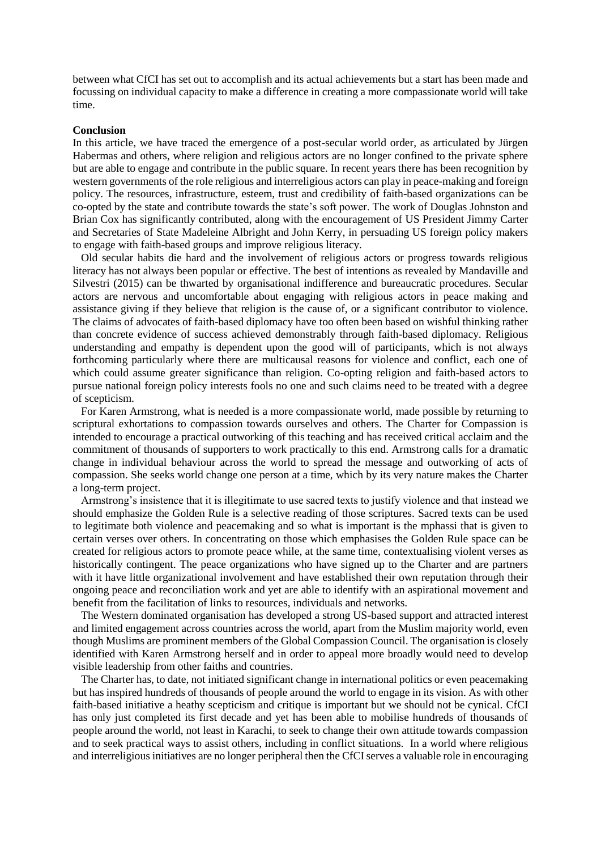between what CfCI has set out to accomplish and its actual achievements but a start has been made and focussing on individual capacity to make a difference in creating a more compassionate world will take time.

### **Conclusion**

In this article, we have traced the emergence of a post-secular world order, as articulated by Jürgen Habermas and others, where religion and religious actors are no longer confined to the private sphere but are able to engage and contribute in the public square. In recent years there has been recognition by western governments of the role religious and interreligious actors can play in peace-making and foreign policy. The resources, infrastructure, esteem, trust and credibility of faith-based organizations can be co-opted by the state and contribute towards the state's soft power. The work of Douglas Johnston and Brian Cox has significantly contributed, along with the encouragement of US President Jimmy Carter and Secretaries of State Madeleine Albright and John Kerry, in persuading US foreign policy makers to engage with faith-based groups and improve religious literacy.

 Old secular habits die hard and the involvement of religious actors or progress towards religious literacy has not always been popular or effective. The best of intentions as revealed by Mandaville and Silvestri (2015) can be thwarted by organisational indifference and bureaucratic procedures. Secular actors are nervous and uncomfortable about engaging with religious actors in peace making and assistance giving if they believe that religion is the cause of, or a significant contributor to violence. The claims of advocates of faith-based diplomacy have too often been based on wishful thinking rather than concrete evidence of success achieved demonstrably through faith-based diplomacy. Religious understanding and empathy is dependent upon the good will of participants, which is not always forthcoming particularly where there are multicausal reasons for violence and conflict, each one of which could assume greater significance than religion. Co-opting religion and faith-based actors to pursue national foreign policy interests fools no one and such claims need to be treated with a degree of scepticism.

 For Karen Armstrong, what is needed is a more compassionate world, made possible by returning to scriptural exhortations to compassion towards ourselves and others. The Charter for Compassion is intended to encourage a practical outworking of this teaching and has received critical acclaim and the commitment of thousands of supporters to work practically to this end. Armstrong calls for a dramatic change in individual behaviour across the world to spread the message and outworking of acts of compassion. She seeks world change one person at a time, which by its very nature makes the Charter a long-term project.

 Armstrong's insistence that it is illegitimate to use sacred texts to justify violence and that instead we should emphasize the Golden Rule is a selective reading of those scriptures. Sacred texts can be used to legitimate both violence and peacemaking and so what is important is the mphassi that is given to certain verses over others. In concentrating on those which emphasises the Golden Rule space can be created for religious actors to promote peace while, at the same time, contextualising violent verses as historically contingent. The peace organizations who have signed up to the Charter and are partners with it have little organizational involvement and have established their own reputation through their ongoing peace and reconciliation work and yet are able to identify with an aspirational movement and benefit from the facilitation of links to resources, individuals and networks.

 The Western dominated organisation has developed a strong US-based support and attracted interest and limited engagement across countries across the world, apart from the Muslim majority world, even though Muslims are prominent members of the Global Compassion Council. The organisation is closely identified with Karen Armstrong herself and in order to appeal more broadly would need to develop visible leadership from other faiths and countries.

 The Charter has, to date, not initiated significant change in international politics or even peacemaking but has inspired hundreds of thousands of people around the world to engage in its vision. As with other faith-based initiative a heathy scepticism and critique is important but we should not be cynical. CfCI has only just completed its first decade and yet has been able to mobilise hundreds of thousands of people around the world, not least in Karachi, to seek to change their own attitude towards compassion and to seek practical ways to assist others, including in conflict situations. In a world where religious and interreligious initiatives are no longer peripheral then the CfCI serves a valuable role in encouraging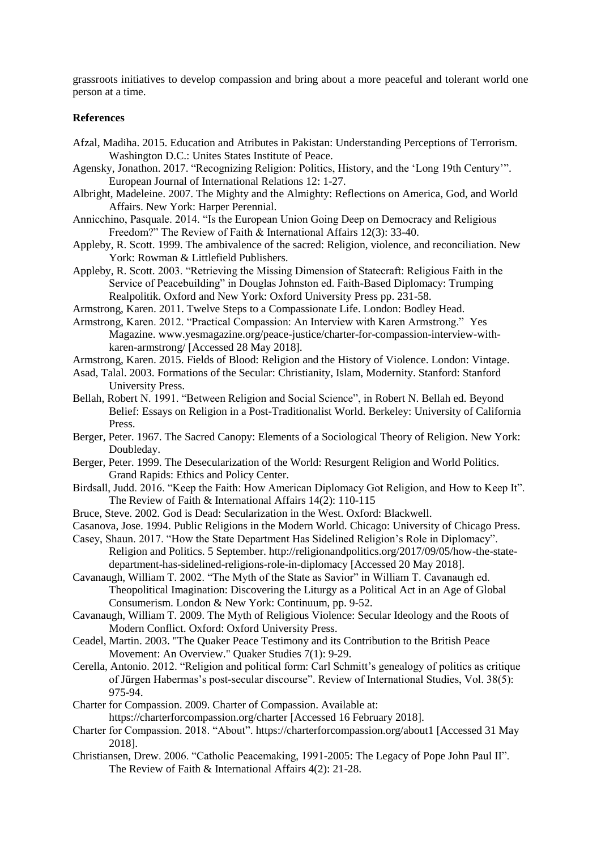grassroots initiatives to develop compassion and bring about a more peaceful and tolerant world one person at a time.

# **References**

- Afzal, Madiha. 2015. Education and Atributes in Pakistan: Understanding Perceptions of Terrorism. Washington D.C.: Unites States Institute of Peace.
- Agensky, Jonathon. 2017. "Recognizing Religion: Politics, History, and the 'Long 19th Century'". European Journal of International Relations 12: 1-27.
- Albright, Madeleine. 2007. The Mighty and the Almighty: Reflections on America, God, and World Affairs. New York: Harper Perennial.
- Annicchino, Pasquale. 2014. "Is the European Union Going Deep on Democracy and Religious Freedom?" The Review of Faith & International Affairs 12(3): 33-40.
- Appleby, R. Scott. 1999. The ambivalence of the sacred: Religion, violence, and reconciliation. New York: Rowman & Littlefield Publishers.
- Appleby, R. Scott. 2003. "Retrieving the Missing Dimension of Statecraft: Religious Faith in the Service of Peacebuilding" in Douglas Johnston ed. Faith-Based Diplomacy: Trumping Realpolitik. Oxford and New York: Oxford University Press pp. 231-58.

Armstrong, Karen. 2011. Twelve Steps to a Compassionate Life. London: Bodley Head.

- Armstrong, Karen. 2012. "Practical Compassion: An Interview with Karen Armstrong." Yes Magazine. www.yesmagazine.org/peace-justice/charter-for-compassion-interview-withkaren-armstrong/ [Accessed 28 May 2018].
- Armstrong, Karen. 2015. Fields of Blood: Religion and the History of Violence. London: Vintage.
- Asad, Talal. 2003. Formations of the Secular: Christianity, Islam, Modernity. Stanford: Stanford University Press.
- Bellah, Robert N. 1991. "Between Religion and Social Science", in Robert N. Bellah ed. Beyond Belief: Essays on Religion in a Post-Traditionalist World. Berkeley: University of California Press.
- Berger, Peter. 1967. The Sacred Canopy: Elements of a Sociological Theory of Religion. New York: Doubleday.
- Berger, Peter. 1999. The Desecularization of the World: Resurgent Religion and World Politics. Grand Rapids: Ethics and Policy Center.
- Birdsall, Judd. 2016. "Keep the Faith: How American Diplomacy Got Religion, and How to Keep It". The Review of Faith & International Affairs 14(2): 110-115
- Bruce, Steve. 2002. God is Dead: Secularization in the West. Oxford: Blackwell.
- Casanova, Jose. 1994. Public Religions in the Modern World. Chicago: University of Chicago Press.
- Casey, Shaun. 2017. "How the State Department Has Sidelined Religion's Role in Diplomacy". Religion and Politics. 5 September. http://religionandpolitics.org/2017/09/05/how-the-statedepartment-has-sidelined-religions-role-in-diplomacy [Accessed 20 May 2018].
- Cavanaugh, William T. 2002. "The Myth of the State as Savior" in William T. Cavanaugh ed. Theopolitical Imagination: Discovering the Liturgy as a Political Act in an Age of Global Consumerism. London & New York: Continuum, pp. 9-52.
- Cavanaugh, William T. 2009. The Myth of Religious Violence: Secular Ideology and the Roots of Modern Conflict. Oxford: Oxford University Press.
- Ceadel, Martin. 2003. "The Quaker Peace Testimony and its Contribution to the British Peace Movement: An Overview." Quaker Studies 7(1): 9-29.
- Cerella, Antonio. 2012. "Religion and political form: Carl Schmitt's genealogy of politics as critique of Jürgen Habermas's post-secular discourse". Review of International Studies, Vol. 38(5): 975-94.
- Charter for Compassion. 2009. Charter of Compassion. Available at: https://charterforcompassion.org/charter [Accessed 16 February 2018].
- Charter for Compassion. 2018. "About". https://charterforcompassion.org/about1 [Accessed 31 May 2018].
- Christiansen, Drew. 2006. "Catholic Peacemaking, 1991-2005: The Legacy of Pope John Paul II". The Review of Faith & International Affairs 4(2): 21-28.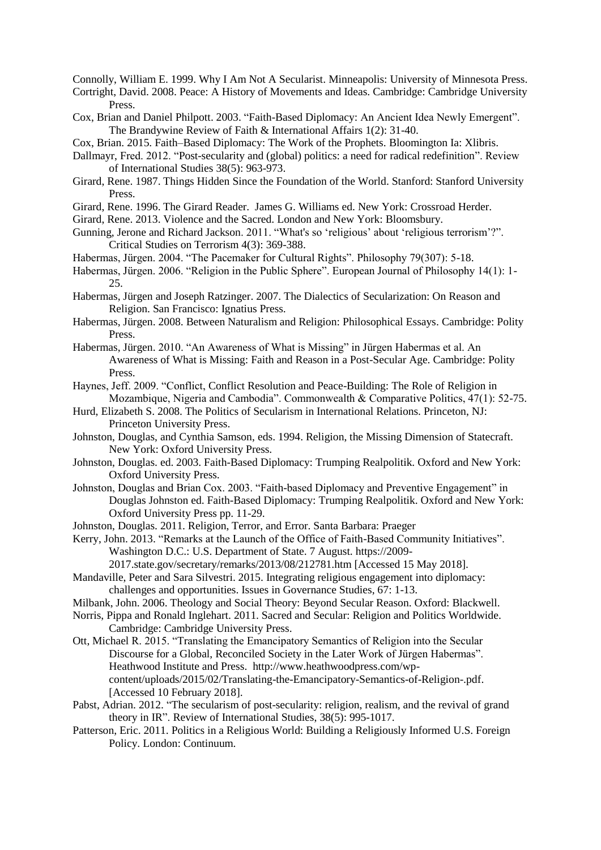Connolly, William E. 1999. Why I Am Not A Secularist. Minneapolis: University of Minnesota Press.

- Cortright, David. 2008. Peace: A History of Movements and Ideas. Cambridge: Cambridge University Press.
- Cox, Brian and Daniel Philpott. 2003. "Faith-Based Diplomacy: An Ancient Idea Newly Emergent". The Brandywine Review of Faith & International Affairs 1(2): 31-40.
- Cox, Brian. 2015. Faith–Based Diplomacy: The Work of the Prophets. Bloomington Ia: Xlibris.
- Dallmayr, Fred. 2012. "Post-secularity and (global) politics: a need for radical redefinition". Review of International Studies 38(5): 963-973.
- Girard, Rene. 1987. Things Hidden Since the Foundation of the World. Stanford: Stanford University Press.
- Girard, Rene. 1996. The Girard Reader. James G. Williams ed. New York: Crossroad Herder.
- Girard, Rene. 2013. Violence and the Sacred. London and New York: Bloomsbury.
- Gunning, Jerone and Richard Jackson. 2011. "What's so 'religious' about 'religious terrorism'?". Critical Studies on Terrorism 4(3): 369-388.
- Habermas, Jürgen. 2004. "The Pacemaker for Cultural Rights". Philosophy 79(307): 5-18.
- Habermas, Jürgen. 2006. "Religion in the Public Sphere". European Journal of Philosophy 14(1): 1- 25.
- Habermas, Jürgen and Joseph Ratzinger. 2007. The Dialectics of Secularization: On Reason and Religion. San Francisco: Ignatius Press.
- Habermas, Jürgen. 2008. Between Naturalism and Religion: Philosophical Essays. Cambridge: Polity Press.
- Habermas, Jürgen. 2010. "An Awareness of What is Missing" in Jürgen Habermas et al. An Awareness of What is Missing: Faith and Reason in a Post-Secular Age. Cambridge: Polity Press.
- Haynes, Jeff. 2009. "Conflict, Conflict Resolution and Peace-Building: The Role of Religion in Mozambique, Nigeria and Cambodia". Commonwealth & Comparative Politics, 47(1): 52-75.
- Hurd, Elizabeth S. 2008. The Politics of Secularism in International Relations. Princeton, NJ: Princeton University Press.
- Johnston, Douglas, and Cynthia Samson, eds. 1994. Religion, the Missing Dimension of Statecraft. New York: Oxford University Press.
- Johnston, Douglas. ed. 2003. Faith-Based Diplomacy: Trumping Realpolitik. Oxford and New York: Oxford University Press.
- Johnston, Douglas and Brian Cox. 2003. "Faith-based Diplomacy and Preventive Engagement" in Douglas Johnston ed. Faith-Based Diplomacy: Trumping Realpolitik. Oxford and New York: Oxford University Press pp. 11-29.
- Johnston, Douglas. 2011. Religion, Terror, and Error. Santa Barbara: Praeger
- Kerry, John. 2013. "Remarks at the Launch of the Office of Faith-Based Community Initiatives". Washington D.C.: U.S. Department of State. 7 August. https://2009-
	- 2017.state.gov/secretary/remarks/2013/08/212781.htm [Accessed 15 May 2018].
- Mandaville, Peter and Sara Silvestri. 2015. Integrating religious engagement into diplomacy: challenges and opportunities. Issues in Governance Studies, 67: 1-13.
- Milbank, John. 2006. Theology and Social Theory: Beyond Secular Reason. Oxford: Blackwell.
- Norris, Pippa and Ronald Inglehart. 2011. Sacred and Secular: Religion and Politics Worldwide. Cambridge: Cambridge University Press.
- Ott, Michael R. 2015. "Translating the Emancipatory Semantics of Religion into the Secular Discourse for a Global, Reconciled Society in the Later Work of Jürgen Habermas". Heathwood Institute and Press. http://www.heathwoodpress.com/wpcontent/uploads/2015/02/Translating-the-Emancipatory-Semantics-of-Religion-.pdf. [Accessed 10 February 2018].
- Pabst, Adrian. 2012. "The secularism of post-secularity: religion, realism, and the revival of grand theory in IR". Review of International Studies, 38(5): 995-1017.
- Patterson, Eric. 2011. Politics in a Religious World: Building a Religiously Informed U.S. Foreign Policy. London: Continuum.